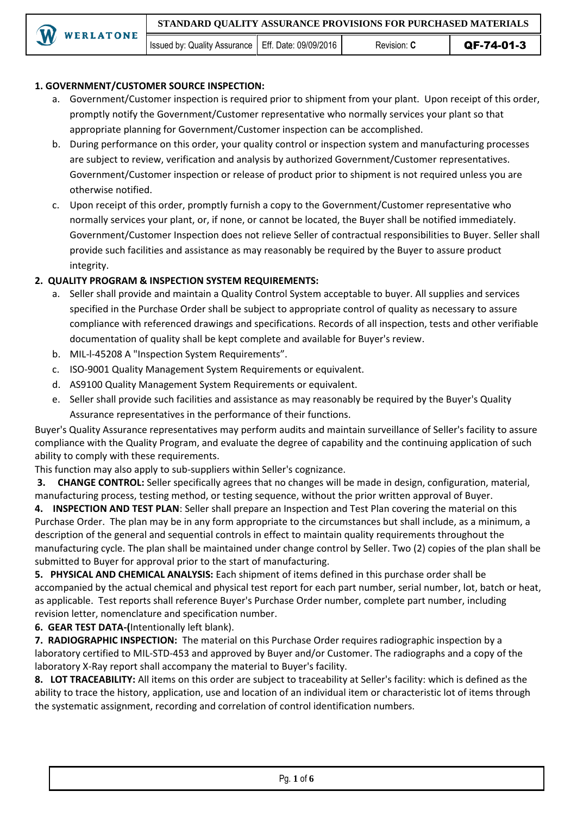### **1. GOVERNMENT/CUSTOMER SOURCE INSPECTION:**

- a. Government/Customer inspection is required prior to shipment from your plant. Upon receipt of this order, promptly notify the Government/Customer representative who normally services your plant so that appropriate planning for Government/Customer inspection can be accomplished.
- b. During performance on this order, your quality control or inspection system and manufacturing processes are subject to review, verification and analysis by authorized Government/Customer representatives. Government/Customer inspection or release of product prior to shipment is not required unless you are otherwise notified.
- c. Upon receipt of this order, promptly furnish a copy to the Government/Customer representative who normally services your plant, or, if none, or cannot be located, the Buyer shall be notified immediately. Government/Customer Inspection does not relieve Seller of contractual responsibilities to Buyer. Seller shall provide such facilities and assistance as may reasonably be required by the Buyer to assure product integrity.

## **2. QUALITY PROGRAM & INSPECTION SYSTEM REQUIREMENTS:**

- a. Seller shall provide and maintain a Quality Control System acceptable to buyer. All supplies and services specified in the Purchase Order shall be subject to appropriate control of quality as necessary to assure compliance with referenced drawings and specifications. Records of all inspection, tests and other verifiable documentation of quality shall be kept complete and available for Buyer's review.
- b. MIL-l-45208 A "Inspection System Requirements".
- c. ISO-9001 Quality Management System Requirements or equivalent.
- d. AS9100 Quality Management System Requirements or equivalent.
- e. Seller shall provide such facilities and assistance as may reasonably be required by the Buyer's Quality Assurance representatives in the performance of their functions.

Buyer's Quality Assurance representatives may perform audits and maintain surveillance of Seller's facility to assure compliance with the Quality Program, and evaluate the degree of capability and the continuing application of such ability to comply with these requirements.

This function may also apply to sub-suppliers within Seller's cognizance.

**3. CHANGE CONTROL:** Seller specifically agrees that no changes will be made in design, configuration, material, manufacturing process, testing method, or testing sequence, without the prior written approval of Buyer.

**4. INSPECTION AND TEST PLAN**: Seller shall prepare an Inspection and Test Plan covering the material on this Purchase Order. The plan may be in any form appropriate to the circumstances but shall include, as a minimum, a description of the general and sequential controls in effect to maintain quality requirements throughout the manufacturing cycle. The plan shall be maintained under change control by Seller. Two (2) copies of the plan shall be submitted to Buyer for approval prior to the start of manufacturing.

**5. PHYSICAL AND CHEMICAL ANALYSIS:** Each shipment of items defined in this purchase order shall be accompanied by the actual chemical and physical test report for each part number, serial number, lot, batch or heat, as applicable. Test reports shall reference Buyer's Purchase Order number, complete part number, including revision letter, nomenclature and specification number.

**6. GEAR TEST DATA-(**Intentionally left blank).

**7. RADIOGRAPHIC INSPECTION:** The material on this Purchase Order requires radiographic inspection by a laboratory certified to MIL-STD-453 and approved by Buyer and/or Customer. The radiographs and a copy of the laboratory X-Ray report shall accompany the material to Buyer's facility.

**8. LOT TRACEABILITY:** All items on this order are subject to traceability at Seller's facility: which is defined as the ability to trace the history, application, use and location of an individual item or characteristic lot of items through the systematic assignment, recording and correlation of control identification numbers.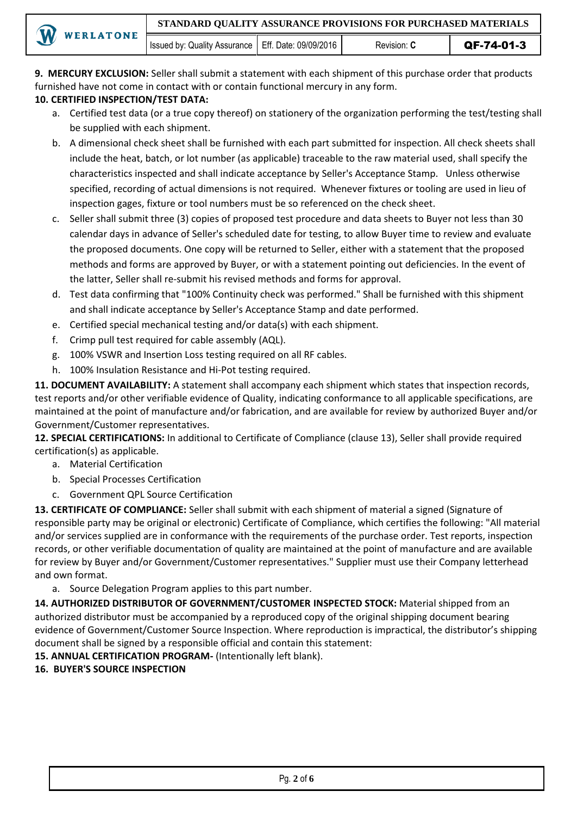**9. MERCURY EXCLUSION:** Seller shall submit a statement with each shipment of this purchase order that products furnished have not come in contact with or contain functional mercury in any form.

# **10. CERTIFIED INSPECTION/TEST DATA:**

- a. Certified test data (or a true copy thereof) on stationery of the organization performing the test/testing shall be supplied with each shipment.
- b. A dimensional check sheet shall be furnished with each part submitted for inspection. All check sheets shall include the heat, batch, or lot number (as applicable) traceable to the raw material used, shall specify the characteristics inspected and shall indicate acceptance by Seller's Acceptance Stamp. Unless otherwise specified, recording of actual dimensions is not required. Whenever fixtures or tooling are used in lieu of inspection gages, fixture or tool numbers must be so referenced on the check sheet.
- c. Seller shall submit three (3) copies of proposed test procedure and data sheets to Buyer not less than 30 calendar days in advance of Seller's scheduled date for testing, to allow Buyer time to review and evaluate the proposed documents. One copy will be returned to Seller, either with a statement that the proposed methods and forms are approved by Buyer, or with a statement pointing out deficiencies. In the event of the latter, Seller shall re-submit his revised methods and forms for approval.
- d. Test data confirming that "100% Continuity check was performed." Shall be furnished with this shipment and shall indicate acceptance by Seller's Acceptance Stamp and date performed.
- e. Certified special mechanical testing and/or data(s) with each shipment.
- f. Crimp pull test required for cable assembly (AQL).
- g. 100% VSWR and Insertion Loss testing required on all RF cables.
- h. 100% Insulation Resistance and Hi-Pot testing required.

**11. DOCUMENT AVAILABILITY:** A statement shall accompany each shipment which states that inspection records, test reports and/or other verifiable evidence of Quality, indicating conformance to all applicable specifications, are maintained at the point of manufacture and/or fabrication, and are available for review by authorized Buyer and/or Government/Customer representatives.

**12. SPECIAL CERTIFICATIONS:** In additional to Certificate of Compliance (clause 13), Seller shall provide required certification(s) as applicable.

- a. Material Certification
- b. Special Processes Certification
- c. Government QPL Source Certification

**13. CERTIFICATE OF COMPLIANCE:** Seller shall submit with each shipment of material a signed (Signature of responsible party may be original or electronic) Certificate of Compliance, which certifies the following: "All material and/or services supplied are in conformance with the requirements of the purchase order. Test reports, inspection records, or other verifiable documentation of quality are maintained at the point of manufacture and are available for review by Buyer and/or Government/Customer representatives." Supplier must use their Company letterhead and own format.

a. Source Delegation Program applies to this part number.

**14. AUTHORIZED DISTRIBUTOR OF GOVERNMENT/CUSTOMER INSPECTED STOCK:** Material shipped from an authorized distributor must be accompanied by a reproduced copy of the original shipping document bearing evidence of Government/Customer Source Inspection. Where reproduction is impractical, the distributor's shipping document shall be signed by a responsible official and contain this statement:

**15. ANNUAL CERTIFICATION PROGRAM-** (Intentionally left blank).

## **16. BUYER'S SOURCE INSPECTION**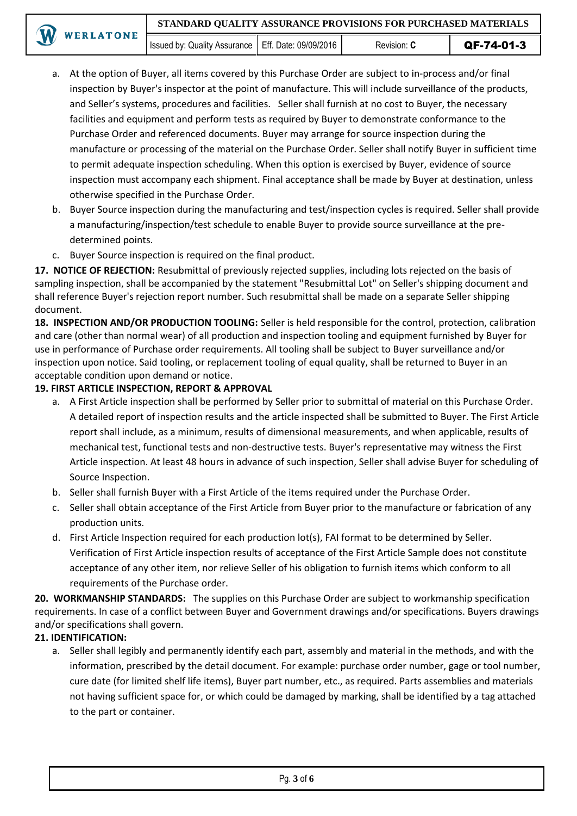- a. At the option of Buyer, all items covered by this Purchase Order are subject to in-process and/or final inspection by Buyer's inspector at the point of manufacture. This will include surveillance of the products, and Seller's systems, procedures and facilities. Seller shall furnish at no cost to Buyer, the necessary facilities and equipment and perform tests as required by Buyer to demonstrate conformance to the Purchase Order and referenced documents. Buyer may arrange for source inspection during the manufacture or processing of the material on the Purchase Order. Seller shall notify Buyer in sufficient time to permit adequate inspection scheduling. When this option is exercised by Buyer, evidence of source inspection must accompany each shipment. Final acceptance shall be made by Buyer at destination, unless otherwise specified in the Purchase Order.
- b. Buyer Source inspection during the manufacturing and test/inspection cycles is required. Seller shall provide a manufacturing/inspection/test schedule to enable Buyer to provide source surveillance at the predetermined points.
- c. Buyer Source inspection is required on the final product.

**17. NOTICE OF REJECTION:** Resubmittal of previously rejected supplies, including lots rejected on the basis of sampling inspection, shall be accompanied by the statement "Resubmittal Lot" on Seller's shipping document and shall reference Buyer's rejection report number. Such resubmittal shall be made on a separate Seller shipping document.

**18. INSPECTION AND/OR PRODUCTION TOOLING:** Seller is held responsible for the control, protection, calibration and care (other than normal wear) of all production and inspection tooling and equipment furnished by Buyer for use in performance of Purchase order requirements. All tooling shall be subject to Buyer surveillance and/or inspection upon notice. Said tooling, or replacement tooling of equal quality, shall be returned to Buyer in an acceptable condition upon demand or notice.

### **19. FIRST ARTICLE INSPECTION, REPORT & APPROVAL**

- a. A First Article inspection shall be performed by Seller prior to submittal of material on this Purchase Order. A detailed report of inspection results and the article inspected shall be submitted to Buyer. The First Article report shall include, as a minimum, results of dimensional measurements, and when applicable, results of mechanical test, functional tests and non-destructive tests. Buyer's representative may witness the First Article inspection. At least 48 hours in advance of such inspection, Seller shall advise Buyer for scheduling of Source Inspection.
- b. Seller shall furnish Buyer with a First Article of the items required under the Purchase Order.
- c. Seller shall obtain acceptance of the First Article from Buyer prior to the manufacture or fabrication of any production units.
- d. First Article Inspection required for each production lot(s), FAI format to be determined by Seller. Verification of First Article inspection results of acceptance of the First Article Sample does not constitute acceptance of any other item, nor relieve Seller of his obligation to furnish items which conform to all requirements of the Purchase order.

**20. WORKMANSHIP STANDARDS:** The supplies on this Purchase Order are subject to workmanship specification requirements. In case of a conflict between Buyer and Government drawings and/or specifications. Buyers drawings and/or specifications shall govern.

## **21. IDENTIFICATION:**

a. Seller shall legibly and permanently identify each part, assembly and material in the methods, and with the information, prescribed by the detail document. For example: purchase order number, gage or tool number, cure date (for limited shelf life items), Buyer part number, etc., as required. Parts assemblies and materials not having sufficient space for, or which could be damaged by marking, shall be identified by a tag attached to the part or container.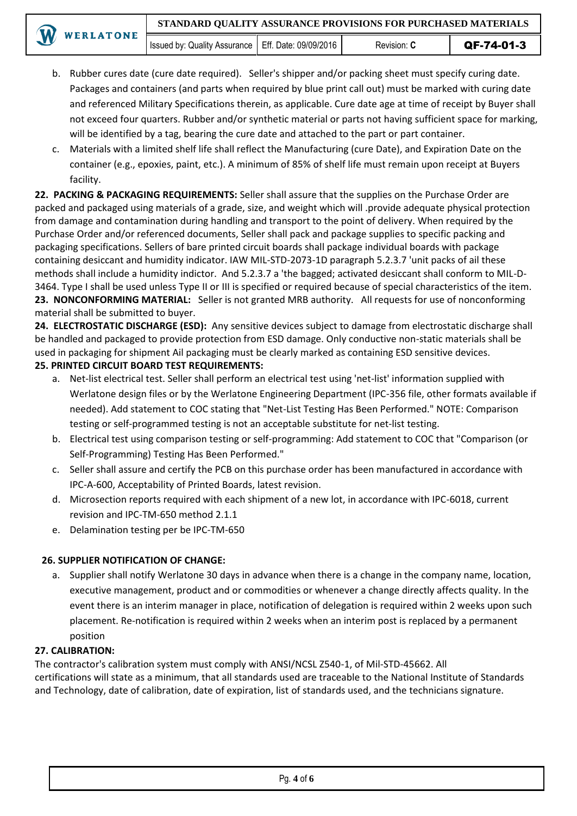Issued by: Quality Assurance | Eff. Date: 09/09/2016 | Revision: **C** | QF-74-01-3

- b. Rubber cures date (cure date required). Seller's shipper and/or packing sheet must specify curing date. Packages and containers (and parts when required by blue print call out) must be marked with curing date and referenced Military Specifications therein, as applicable. Cure date age at time of receipt by Buyer shall not exceed four quarters. Rubber and/or synthetic material or parts not having sufficient space for marking, will be identified by a tag, bearing the cure date and attached to the part or part container.
- c. Materials with a limited shelf life shall reflect the Manufacturing (cure Date), and Expiration Date on the container (e.g., epoxies, paint, etc.). A minimum of 85% of shelf life must remain upon receipt at Buyers facility.

**22. PACKING & PACKAGING REQUIREMENTS:** Seller shall assure that the supplies on the Purchase Order are packed and packaged using materials of a grade, size, and weight which will .provide adequate physical protection from damage and contamination during handling and transport to the point of delivery. When required by the Purchase Order and/or referenced documents, Seller shall pack and package supplies to specific packing and packaging specifications. Sellers of bare printed circuit boards shall package individual boards with package containing desiccant and humidity indicator. IAW MIL-STD-2073-1D paragraph 5.2.3.7 'unit packs of ail these methods shall include a humidity indictor. And 5.2.3.7 a 'the bagged; activated desiccant shall conform to MIL-D-3464. Type I shall be used unless Type II or III is specified or required because of special characteristics of the item. **23. NONCONFORMING MATERIAL:** Seller is not granted MRB authority. All requests for use of nonconforming material shall be submitted to buyer.

**24. ELECTROSTATIC DISCHARGE (ESD):** Any sensitive devices subject to damage from electrostatic discharge shall be handled and packaged to provide protection from ESD damage. Only conductive non-static materials shall be used in packaging for shipment Ail packaging must be clearly marked as containing ESD sensitive devices.

# **25. PRINTED CIRCUIT BOARD TEST REQUIREMENTS:**

- a. Net-list electrical test. Seller shall perform an electrical test using 'net-list' information supplied with Werlatone design files or by the Werlatone Engineering Department (IPC-356 file, other formats available if needed). Add statement to COC stating that "Net-List Testing Has Been Performed." NOTE: Comparison testing or self-programmed testing is not an acceptable substitute for net-list testing.
- b. Electrical test using comparison testing or self-programming: Add statement to COC that "Comparison (or Self-Programming) Testing Has Been Performed."
- c. Seller shall assure and certify the PCB on this purchase order has been manufactured in accordance with IPC-A-600, Acceptability of Printed Boards, latest revision.
- d. Microsection reports required with each shipment of a new lot, in accordance with IPC-6018, current revision and IPC-TM-650 method 2.1.1
- e. Delamination testing per be IPC-TM-650

# **26. SUPPLIER NOTIFICATION OF CHANGE:**

a. Supplier shall notify Werlatone 30 days in advance when there is a change in the company name, location, executive management, product and or commodities or whenever a change directly affects quality. In the event there is an interim manager in place, notification of delegation is required within 2 weeks upon such placement. Re-notification is required within 2 weeks when an interim post is replaced by a permanent position

## **27. CALIBRATION:**

The contractor's calibration system must comply with ANSI/NCSL Z540-1, of Mil-STD-45662. All certifications will state as a minimum, that all standards used are traceable to the National Institute of Standards and Technology, date of calibration, date of expiration, list of standards used, and the technicians signature.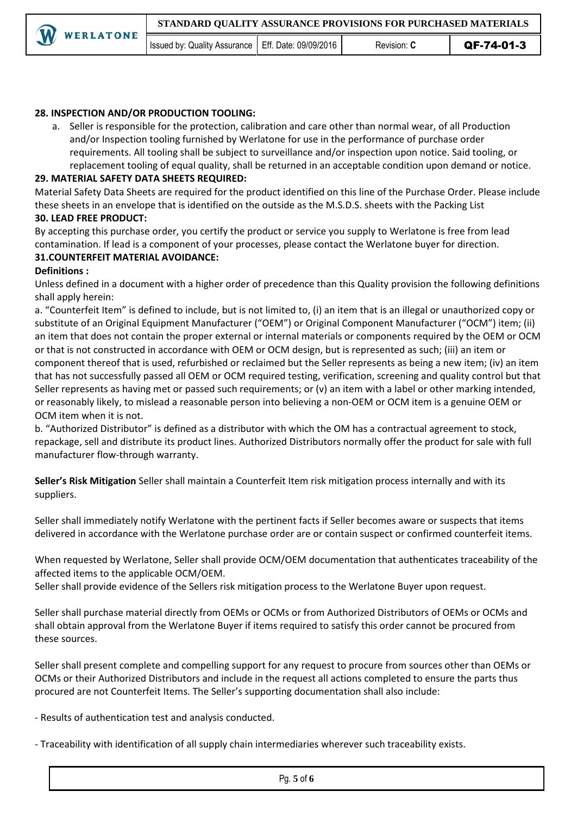#### **28. INSPECTION AND/OR PRODUCTION TOOLING:**

a. Seller is responsible for the protection, calibration and care other than normal wear, of all Production and/or Inspection tooling furnished by Werlatone for use in the performance of purchase order requirements. All tooling shall be subject to surveillance and/or inspection upon notice. Said tooling, or replacement tooling of equal quality, shall be returned in an acceptable condition upon demand or notice.

#### **29. MATERIAL SAFETY DATA SHEETS REQUIRED:**

Material Safety Data Sheets are required for the product identified on this line of the Purchase Order. Please include these sheets in an envelope that is identified on the outside as the M.S.D.S. sheets with the Packing List **30. LEAD FREE PRODUCT:** 

By accepting this purchase order, you certify the product or service you supply to Werlatone is free from lead contamination. If lead is a component of your processes, please contact the Werlatone buyer for direction. **31.COUNTERFEIT MATERIAL AVOIDANCE:**

#### **Definitions :**

Unless defined in a document with a higher order of precedence than this Quality provision the following definitions shall apply herein:

a. "Counterfeit Item" is defined to include, but is not limited to, (i) an item that is an illegal or unauthorized copy or substitute of an Original Equipment Manufacturer ("OEM") or Original Component Manufacturer ("OCM") item; (ii) an item that does not contain the proper external or internal materials or components required by the OEM or OCM or that is not constructed in accordance with OEM or OCM design, but is represented as such; (iii) an item or component thereof that is used, refurbished or reclaimed but the Seller represents as being a new item; (iv) an item that has not successfully passed all OEM or OCM required testing, verification, screening and quality control but that Seller represents as having met or passed such requirements; or (v) an item with a label or other marking intended, or reasonably likely, to mislead a reasonable person into believing a non-OEM or OCM item is a genuine OEM or OCM item when it is not.

b. "Authorized Distributor" is defined as a distributor with which the OM has a contractual agreement to stock, repackage, sell and distribute its product lines. Authorized Distributors normally offer the product for sale with full manufacturer flow-through warranty.

**Seller's Risk Mitigation** Seller shall maintain a Counterfeit Item risk mitigation process internally and with its suppliers.

Seller shall immediately notify Werlatone with the pertinent facts if Seller becomes aware or suspects that items delivered in accordance with the Werlatone purchase order are or contain suspect or confirmed counterfeit items.

When requested by Werlatone, Seller shall provide OCM/OEM documentation that authenticates traceability of the affected items to the applicable OCM/OEM.

Seller shall provide evidence of the Sellers risk mitigation process to the Werlatone Buyer upon request.

Seller shall purchase material directly from OEMs or OCMs or from Authorized Distributors of OEMs or OCMs and shall obtain approval from the Werlatone Buyer if items required to satisfy this order cannot be procured from these sources.

Seller shall present complete and compelling support for any request to procure from sources other than OEMs or OCMs or their Authorized Distributors and include in the request all actions completed to ensure the parts thus procured are not Counterfeit Items. The Seller's supporting documentation shall also include:

- Results of authentication test and analysis conducted.

- Traceability with identification of all supply chain intermediaries wherever such traceability exists.